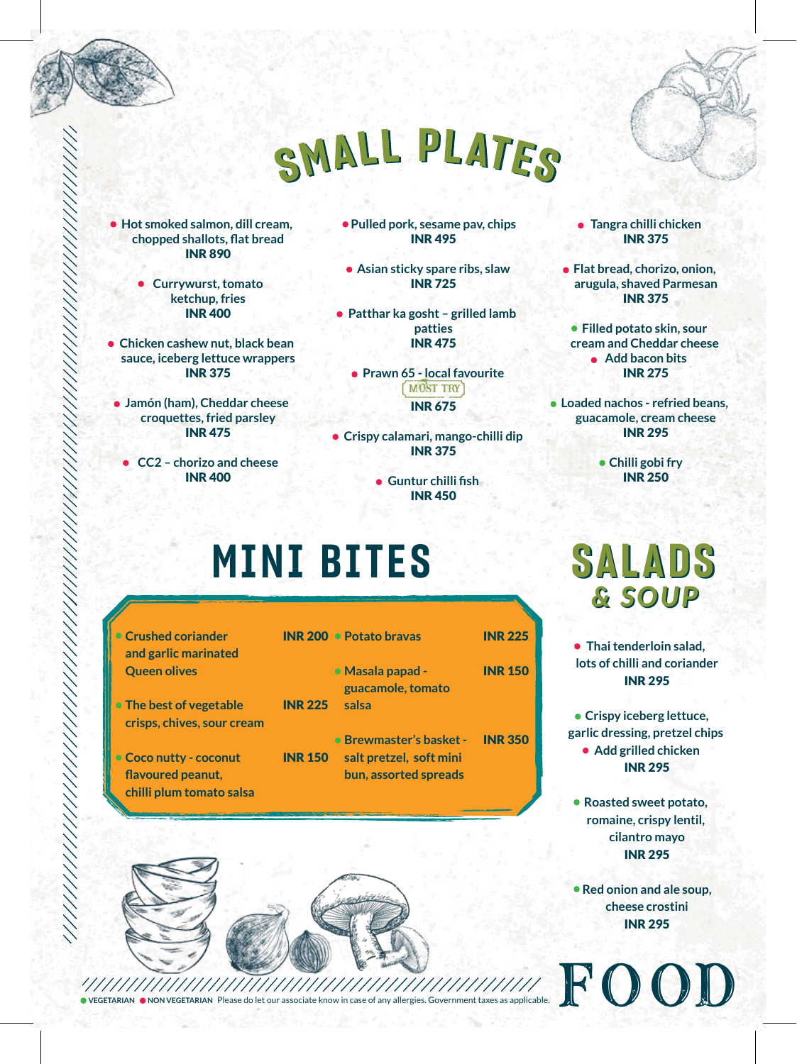

## SMALL PLATES

**Hot smoked salmon, dill cream, chopped shallots, flat bread** INR 890

> **Currywurst, tomato ketchup, fries** INR 400

**Chicken cashew nut, black bean sauce, iceberg lettuce wrappers** INR 375

**Jamón (ham), Cheddar cheese croquettes, fried parsley** INR 475

**CC2 – chorizo and cheese** INR 400

**Pulled pork, sesame pav, chips** INR 495

**Asian sticky spare ribs, slaw** INR 725

**Patthar ka gosht – grilled lamb patties** INR 475

**Prawn 65 - local favourite** MUST TRY INR 675

**Crispy calamari, mango-chilli dip** INR 375

> **Guntur chilli fish** INR 450

### **MINI BITES**

- **Crushed coriander and garlic marinated Queen olives**
- **The best of vegetable crisps, chives, sour cream**
- **Coco nutty coconut flavoured peanut, chilli plum tomato salsa**

|                | <b>INR 200 · Potato bravas</b>                         | <b>INR 225</b> |
|----------------|--------------------------------------------------------|----------------|
| <b>INR 225</b> | $\bullet$ Masala papad -<br>guacamole, tomato<br>salsa | <b>INR 150</b> |
|                | • Brewmaster's basket - INR 350                        |                |

INR 150 **salt pretzel, soft mini bun, assorted spreads**



**Flat bread, chorizo, onion, arugula, shaved Parmesan** INR 375

**Filled potato skin, sour cream and Cheddar cheese Add bacon bits** INR 275

**Loaded nachos - refried beans, guacamole, cream cheese** INR 295

> **Chilli gobi fry** INR 250

*& SOUP & SOUP* **SALADS**

**Thai tenderloin salad, lots of chilli and coriander** INR 295

**Crispy iceberg lettuce, garlic dressing, pretzel chips Add grilled chicken** INR 295

**Roasted sweet potato, romaine, crispy lentil, cilantro mayo** INR 295

**Red onion and ale soup, cheese crostini** INR 295

**VEGETARIAN NON VEGETARIAN** Please do let our associate know in case of any allergies. Government taxes as applicable. FFOOOODD